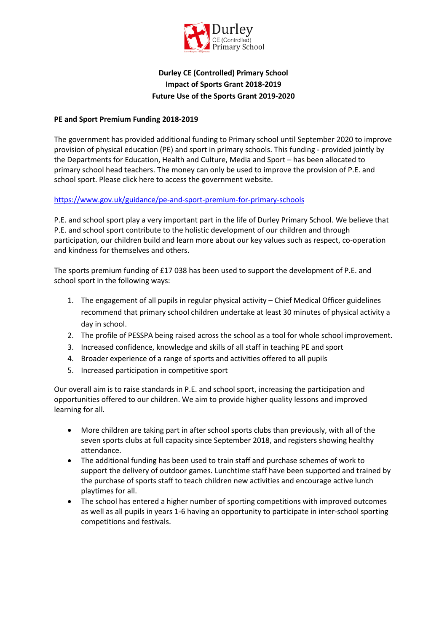

### **Durley CE (Controlled) Primary School Impact of Sports Grant 2018-2019 Future Use of the Sports Grant 2019-2020**

#### **PE and Sport Premium Funding 2018-2019**

The government has provided additional funding to Primary school until September 2020 to improve provision of physical education (PE) and sport in primary schools. This funding - provided jointly by the Departments for Education, Health and Culture, Media and Sport – has been allocated to primary school head teachers. The money can only be used to improve the provision of P.E. and school sport. [Please click here to access the government website.](http://www.education.gov.uk/schools/adminandfinance/financialmanagement/b00222858/primary-school-sport-funding/Primar)

### <https://www.gov.uk/guidance/pe-and-sport-premium-for-primary-schools>

P.E. and school sport play a very important part in the life of Durley Primary School. We believe that P.E. and school sport contribute to the holistic development of our children and through participation, our children build and learn more about our key values such as respect, co-operation and kindness for themselves and others.

The sports premium funding of £17 038 has been used to support the development of P.E. and school sport in the following ways:

- 1. The engagement of all pupils in regular physical activity Chief Medical Officer guidelines recommend that primary school children undertake at least 30 minutes of physical activity a day in school.
- 2. The profile of PESSPA being raised across the school as a tool for whole school improvement.
- 3. Increased confidence, knowledge and skills of all staff in teaching PE and sport
- 4. Broader experience of a range of sports and activities offered to all pupils
- 5. Increased participation in competitive sport

Our overall aim is to raise standards in P.E. and school sport, increasing the participation and opportunities offered to our children. We aim to provide higher quality lessons and improved learning for all.

- More children are taking part in after school sports clubs than previously, with all of the seven sports clubs at full capacity since September 2018, and registers showing healthy attendance.
- The additional funding has been used to train staff and purchase schemes of work to support the delivery of outdoor games. Lunchtime staff have been supported and trained by the purchase of sports staff to teach children new activities and encourage active lunch playtimes for all.
- The school has entered a higher number of sporting competitions with improved outcomes as well as all pupils in years 1-6 having an opportunity to participate in inter-school sporting competitions and festivals.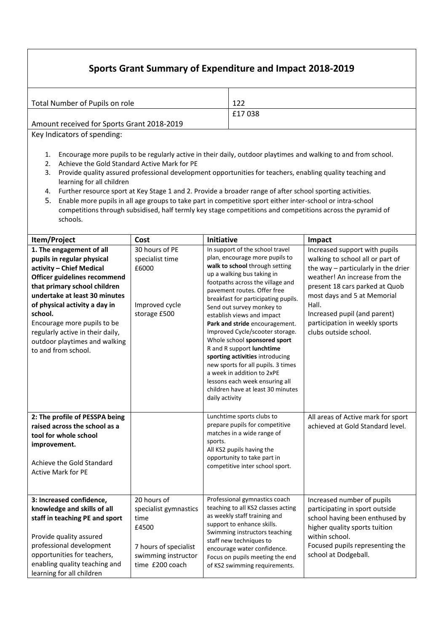# **Sports Grant Summary of Expenditure and Impact 2018-2019**

| Total Number of Pupils on role             | 122    |
|--------------------------------------------|--------|
|                                            | £17038 |
| Amount received for Sports Grant 2018-2019 |        |

Key Indicators of spending:

- 1. Encourage more pupils to be regularly active in their daily, outdoor playtimes and walking to and from school.
- 2. Achieve the Gold Standard Active Mark for PE
- 3. Provide quality assured professional development opportunities for teachers, enabling quality teaching and learning for all children
- 4. Further resource sport at Key Stage 1 and 2. Provide a broader range of after school sporting activities.
- 5. Enable more pupils in all age groups to take part in competitive sport either inter-school or intra-school competitions through subsidised, half termly key stage competitions and competitions across the pyramid of schools.

| Item/Project                                                                                                                                                                                                                                                                                                                                               | Cost                                                                                                                     | Initiative                                                                                                                                                                                                                                                                                                                                                                                                                                                                                                                                                                                                                               | Impact                                                                                                                                                                                                                                                                                                         |
|------------------------------------------------------------------------------------------------------------------------------------------------------------------------------------------------------------------------------------------------------------------------------------------------------------------------------------------------------------|--------------------------------------------------------------------------------------------------------------------------|------------------------------------------------------------------------------------------------------------------------------------------------------------------------------------------------------------------------------------------------------------------------------------------------------------------------------------------------------------------------------------------------------------------------------------------------------------------------------------------------------------------------------------------------------------------------------------------------------------------------------------------|----------------------------------------------------------------------------------------------------------------------------------------------------------------------------------------------------------------------------------------------------------------------------------------------------------------|
| 1. The engagement of all<br>pupils in regular physical<br>activity - Chief Medical<br>Officer guidelines recommend<br>that primary school children<br>undertake at least 30 minutes<br>of physical activity a day in<br>school.<br>Encourage more pupils to be<br>regularly active in their daily,<br>outdoor playtimes and walking<br>to and from school. | 30 hours of PE<br>specialist time<br>£6000<br>Improved cycle<br>storage £500                                             | In support of the school travel<br>plan, encourage more pupils to<br>walk to school through setting<br>up a walking bus taking in<br>footpaths across the village and<br>pavement routes. Offer free<br>breakfast for participating pupils.<br>Send out survey monkey to<br>establish views and impact<br>Park and stride encouragement.<br>Improved Cycle/scooter storage.<br>Whole school sponsored sport<br>R and R support lunchtime<br>sporting activities introducing<br>new sports for all pupils. 3 times<br>a week in addition to 2xPE<br>lessons each week ensuring all<br>children have at least 30 minutes<br>daily activity | Increased support with pupils<br>walking to school all or part of<br>the way - particularly in the drier<br>weather! An increase from the<br>present 18 cars parked at Quob<br>most days and 5 at Memorial<br>Hall.<br>Increased pupil (and parent)<br>participation in weekly sports<br>clubs outside school. |
| 2: The profile of PESSPA being<br>raised across the school as a<br>tool for whole school<br>improvement.<br>Achieve the Gold Standard<br><b>Active Mark for PE</b>                                                                                                                                                                                         |                                                                                                                          | Lunchtime sports clubs to<br>prepare pupils for competitive<br>matches in a wide range of<br>sports.<br>All KS2 pupils having the<br>opportunity to take part in<br>competitive inter school sport.                                                                                                                                                                                                                                                                                                                                                                                                                                      | All areas of Active mark for sport<br>achieved at Gold Standard level.                                                                                                                                                                                                                                         |
| 3: Increased confidence,<br>knowledge and skills of all<br>staff in teaching PE and sport<br>Provide quality assured<br>professional development<br>opportunities for teachers,<br>enabling quality teaching and<br>learning for all children                                                                                                              | 20 hours of<br>specialist gymnastics<br>time<br>£4500<br>7 hours of specialist<br>swimming instructor<br>time £200 coach | Professional gymnastics coach<br>teaching to all KS2 classes acting<br>as weekly staff training and<br>support to enhance skills.<br>Swimming instructors teaching<br>staff new techniques to<br>encourage water confidence.<br>Focus on pupils meeting the end<br>of KS2 swimming requirements.                                                                                                                                                                                                                                                                                                                                         | Increased number of pupils<br>participating in sport outside<br>school having been enthused by<br>higher quality sports tuition<br>within school.<br>Focused pupils representing the<br>school at Dodgeball.                                                                                                   |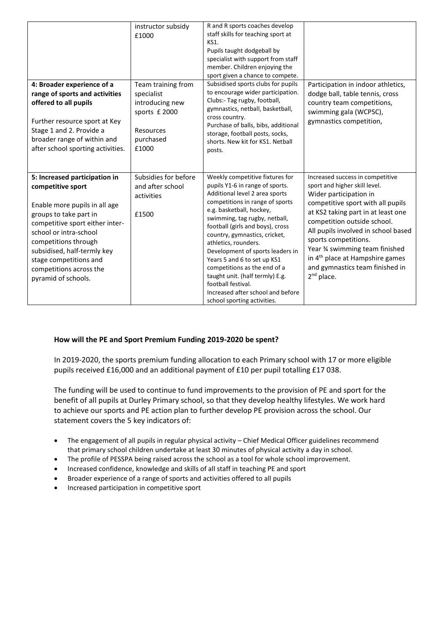|                                                                                                                                                                                                                                                                                                               | instructor subsidy<br>£1000                                                                             | R and R sports coaches develop<br>staff skills for teaching sport at<br>KS1.<br>Pupils taught dodgeball by<br>specialist with support from staff<br>member. Children enjoying the<br>sport given a chance to compete.                                                                                                                                                                                                                                                                                                             |                                                                                                                                                                                                                                                                                                                                                                                                         |
|---------------------------------------------------------------------------------------------------------------------------------------------------------------------------------------------------------------------------------------------------------------------------------------------------------------|---------------------------------------------------------------------------------------------------------|-----------------------------------------------------------------------------------------------------------------------------------------------------------------------------------------------------------------------------------------------------------------------------------------------------------------------------------------------------------------------------------------------------------------------------------------------------------------------------------------------------------------------------------|---------------------------------------------------------------------------------------------------------------------------------------------------------------------------------------------------------------------------------------------------------------------------------------------------------------------------------------------------------------------------------------------------------|
| 4: Broader experience of a<br>range of sports and activities<br>offered to all pupils<br>Further resource sport at Key<br>Stage 1 and 2. Provide a<br>broader range of within and<br>after school sporting activities.                                                                                        | Team training from<br>specialist<br>introducing new<br>sports £ 2000<br>Resources<br>purchased<br>£1000 | Subsidised sports clubs for pupils<br>to encourage wider participation.<br>Clubs:- Tag rugby, football,<br>gymnastics, netball, basketball,<br>cross country.<br>Purchase of balls, bibs, additional<br>storage, football posts, socks,<br>shorts. New kit for KS1. Netball<br>posts.                                                                                                                                                                                                                                             | Participation in indoor athletics,<br>dodge ball, table tennis, cross<br>country team competitions,<br>swimming gala (WCPSC),<br>gymnastics competition,                                                                                                                                                                                                                                                |
| 5: Increased participation in<br>competitive sport<br>Enable more pupils in all age<br>groups to take part in<br>competitive sport either inter-<br>school or intra-school<br>competitions through<br>subsidised, half-termly key<br>stage competitions and<br>competitions across the<br>pyramid of schools. | Subsidies for before<br>and after school<br>activities<br>£1500                                         | Weekly competitive fixtures for<br>pupils Y1-6 in range of sports.<br>Additional level 2 area sports<br>competitions in range of sports<br>e.g. basketball, hockey,<br>swimming, tag rugby, netball,<br>football (girls and boys), cross<br>country, gymnastics, cricket,<br>athletics, rounders.<br>Development of sports leaders in<br>Years 5 and 6 to set up KS1<br>competitions as the end of a<br>taught unit. (half termly) E.g.<br>football festival.<br>Increased after school and before<br>school sporting activities. | Increased success in competitive<br>sport and higher skill level.<br>Wider participation in<br>competitive sport with all pupils<br>at KS2 taking part in at least one<br>competition outside school.<br>All pupils involved in school based<br>sports competitions.<br>Year % swimming team finished<br>in 4 <sup>th</sup> place at Hampshire games<br>and gymnastics team finished in<br>$2nd$ place. |

### **How will the PE and Sport Premium Funding 2019-2020 be spent?**

In 2019-2020, the sports premium funding allocation to each Primary school with 17 or more eligible pupils received £16,000 and an additional payment of £10 per pupil totalling £17 038.

The funding will be used to continue to fund improvements to the provision of PE and sport for the benefit of all pupils at Durley Primary school, so that they develop healthy lifestyles. We work hard to achieve our sports and PE action plan to further develop PE provision across the school. Our statement covers the 5 key indicators of:

- The engagement of all pupils in regular physical activity Chief Medical Officer guidelines recommend that primary school children undertake at least 30 minutes of physical activity a day in school.
- The profile of PESSPA being raised across the school as a tool for whole school improvement.
- Increased confidence, knowledge and skills of all staff in teaching PE and sport
- Broader experience of a range of sports and activities offered to all pupils
- Increased participation in competitive sport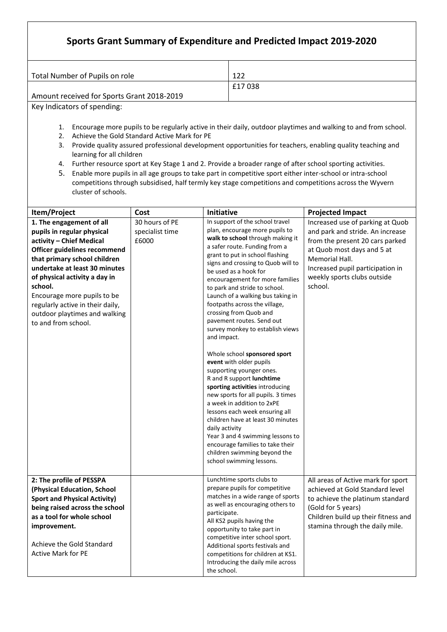|                                                                                                                 | Sports Grant Summary of Expenditure and Predicted Impact 2019-2020                                                                                                                                                                          |                                                                                                                |  |
|-----------------------------------------------------------------------------------------------------------------|---------------------------------------------------------------------------------------------------------------------------------------------------------------------------------------------------------------------------------------------|----------------------------------------------------------------------------------------------------------------|--|
|                                                                                                                 | Total Number of Pupils on role                                                                                                                                                                                                              | 122                                                                                                            |  |
|                                                                                                                 |                                                                                                                                                                                                                                             | £17038                                                                                                         |  |
|                                                                                                                 | Amount received for Sports Grant 2018-2019                                                                                                                                                                                                  |                                                                                                                |  |
|                                                                                                                 | Key Indicators of spending:                                                                                                                                                                                                                 |                                                                                                                |  |
|                                                                                                                 |                                                                                                                                                                                                                                             |                                                                                                                |  |
| 1.                                                                                                              |                                                                                                                                                                                                                                             | Encourage more pupils to be regularly active in their daily, outdoor playtimes and walking to and from school. |  |
| 2.                                                                                                              | Achieve the Gold Standard Active Mark for PE                                                                                                                                                                                                |                                                                                                                |  |
| 3.                                                                                                              |                                                                                                                                                                                                                                             | Provide quality assured professional development opportunities for teachers, enabling quality teaching and     |  |
|                                                                                                                 | learning for all children                                                                                                                                                                                                                   |                                                                                                                |  |
| Further resource sport at Key Stage 1 and 2. Provide a broader range of after school sporting activities.<br>4. |                                                                                                                                                                                                                                             |                                                                                                                |  |
| 5.                                                                                                              | Enable more pupils in all age groups to take part in competitive sport either inter-school or intra-school<br>competitions through subsidised, half termly key stage competitions and competitions across the Wyvern<br>cluster of schools. |                                                                                                                |  |

| Item/Project                                                                                                                                                                                                                                                                                                                                               | Cost                                       | Initiative                                                                                                                                                                                                                                                                                                                                                                                                                                                                                                                                                                                                                                                                                                                                                                                                                                                                                                                                           | <b>Projected Impact</b>                                                                                                                                                                                                               |  |  |
|------------------------------------------------------------------------------------------------------------------------------------------------------------------------------------------------------------------------------------------------------------------------------------------------------------------------------------------------------------|--------------------------------------------|------------------------------------------------------------------------------------------------------------------------------------------------------------------------------------------------------------------------------------------------------------------------------------------------------------------------------------------------------------------------------------------------------------------------------------------------------------------------------------------------------------------------------------------------------------------------------------------------------------------------------------------------------------------------------------------------------------------------------------------------------------------------------------------------------------------------------------------------------------------------------------------------------------------------------------------------------|---------------------------------------------------------------------------------------------------------------------------------------------------------------------------------------------------------------------------------------|--|--|
| 1. The engagement of all<br>pupils in regular physical<br>activity - Chief Medical<br>Officer guidelines recommend<br>that primary school children<br>undertake at least 30 minutes<br>of physical activity a day in<br>school.<br>Encourage more pupils to be<br>regularly active in their daily,<br>outdoor playtimes and walking<br>to and from school. | 30 hours of PE<br>specialist time<br>£6000 | In support of the school travel<br>plan, encourage more pupils to<br>walk to school through making it<br>a safer route. Funding from a<br>grant to put in school flashing<br>signs and crossing to Quob will to<br>be used as a hook for<br>encouragement for more families<br>to park and stride to school.<br>Launch of a walking bus taking in<br>footpaths across the village,<br>crossing from Quob and<br>pavement routes. Send out<br>survey monkey to establish views<br>and impact.<br>Whole school sponsored sport<br>event with older pupils<br>supporting younger ones.<br>R and R support lunchtime<br>sporting activities introducing<br>new sports for all pupils. 3 times<br>a week in addition to 2xPE<br>lessons each week ensuring all<br>children have at least 30 minutes<br>daily activity<br>Year 3 and 4 swimming lessons to<br>encourage families to take their<br>children swimming beyond the<br>school swimming lessons. | Increased use of parking at Quob<br>and park and stride. An increase<br>from the present 20 cars parked<br>at Quob most days and 5 at<br>Memorial Hall.<br>Increased pupil participation in<br>weekly sports clubs outside<br>school. |  |  |
| 2: The profile of PESSPA<br>(Physical Education, School<br><b>Sport and Physical Activity)</b><br>being raised across the school<br>as a tool for whole school<br>improvement.<br>Achieve the Gold Standard<br><b>Active Mark for PE</b>                                                                                                                   |                                            | Lunchtime sports clubs to<br>prepare pupils for competitive<br>matches in a wide range of sports<br>as well as encouraging others to<br>participate.<br>All KS2 pupils having the<br>opportunity to take part in<br>competitive inter school sport.<br>Additional sports festivals and<br>competitions for children at KS1.<br>Introducing the daily mile across<br>the school.                                                                                                                                                                                                                                                                                                                                                                                                                                                                                                                                                                      | All areas of Active mark for sport<br>achieved at Gold Standard level<br>to achieve the platinum standard<br>(Gold for 5 years)<br>Children build up their fitness and<br>stamina through the daily mile.                             |  |  |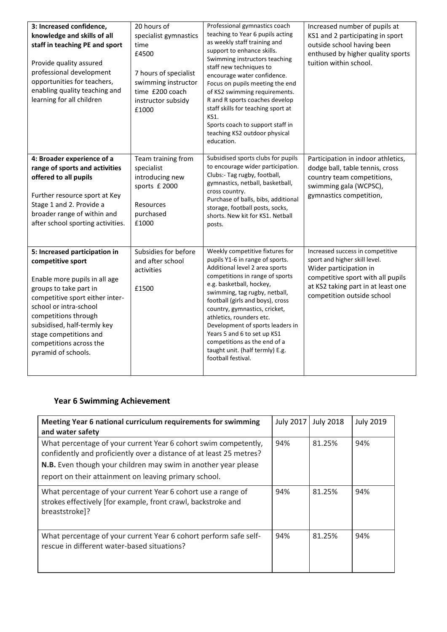| 3: Increased confidence,<br>knowledge and skills of all<br>staff in teaching PE and sport<br>Provide quality assured<br>professional development<br>opportunities for teachers,<br>enabling quality teaching and<br>learning for all children                                                                 | 20 hours of<br>specialist gymnastics<br>time<br>£4500<br>7 hours of specialist<br>swimming instructor<br>time £200 coach<br>instructor subsidy<br>£1000 | Professional gymnastics coach<br>teaching to Year 6 pupils acting<br>as weekly staff training and<br>support to enhance skills.<br>Swimming instructors teaching<br>staff new techniques to<br>encourage water confidence.<br>Focus on pupils meeting the end<br>of KS2 swimming requirements.<br>R and R sports coaches develop<br>staff skills for teaching sport at<br>KS1.<br>Sports coach to support staff in<br>teaching KS2 outdoor physical<br>education. | Increased number of pupils at<br>KS1 and 2 participating in sport<br>outside school having been<br>enthused by higher quality sports<br>tuition within school.                                       |
|---------------------------------------------------------------------------------------------------------------------------------------------------------------------------------------------------------------------------------------------------------------------------------------------------------------|---------------------------------------------------------------------------------------------------------------------------------------------------------|-------------------------------------------------------------------------------------------------------------------------------------------------------------------------------------------------------------------------------------------------------------------------------------------------------------------------------------------------------------------------------------------------------------------------------------------------------------------|------------------------------------------------------------------------------------------------------------------------------------------------------------------------------------------------------|
| 4: Broader experience of a<br>range of sports and activities<br>offered to all pupils<br>Further resource sport at Key<br>Stage 1 and 2. Provide a<br>broader range of within and<br>after school sporting activities.                                                                                        | Team training from<br>specialist<br>introducing new<br>sports £ 2000<br>Resources<br>purchased<br>£1000                                                 | Subsidised sports clubs for pupils<br>to encourage wider participation.<br>Clubs:- Tag rugby, football,<br>gymnastics, netball, basketball,<br>cross country.<br>Purchase of balls, bibs, additional<br>storage, football posts, socks,<br>shorts. New kit for KS1. Netball<br>posts.                                                                                                                                                                             | Participation in indoor athletics,<br>dodge ball, table tennis, cross<br>country team competitions,<br>swimming gala (WCPSC),<br>gymnastics competition,                                             |
| 5: Increased participation in<br>competitive sport<br>Enable more pupils in all age<br>groups to take part in<br>competitive sport either inter-<br>school or intra-school<br>competitions through<br>subsidised, half-termly key<br>stage competitions and<br>competitions across the<br>pyramid of schools. | Subsidies for before<br>and after school<br>activities<br>£1500                                                                                         | Weekly competitive fixtures for<br>pupils Y1-6 in range of sports.<br>Additional level 2 area sports<br>competitions in range of sports<br>e.g. basketball, hockey,<br>swimming, tag rugby, netball,<br>football (girls and boys), cross<br>country, gymnastics, cricket,<br>athletics, rounders etc.<br>Development of sports leaders in<br>Years 5 and 6 to set up KS1<br>competitions as the end of a<br>taught unit. (half termly) E.g.<br>football festival. | Increased success in competitive<br>sport and higher skill level.<br>Wider participation in<br>competitive sport with all pupils<br>at KS2 taking part in at least one<br>competition outside school |

## **Year 6 Swimming Achievement**

| Meeting Year 6 national curriculum requirements for swimming<br>and water safety                                                                                                                                                                                  | <b>July 2017</b> | <b>July 2018</b> | <b>July 2019</b> |
|-------------------------------------------------------------------------------------------------------------------------------------------------------------------------------------------------------------------------------------------------------------------|------------------|------------------|------------------|
| What percentage of your current Year 6 cohort swim competently,<br>confidently and proficiently over a distance of at least 25 metres?<br>N.B. Even though your children may swim in another year please<br>report on their attainment on leaving primary school. | 94%              | 81.25%           | 94%              |
| What percentage of your current Year 6 cohort use a range of<br>strokes effectively [for example, front crawl, backstroke and<br>breaststroke]?                                                                                                                   | 94%              | 81.25%           | 94%              |
| What percentage of your current Year 6 cohort perform safe self-<br>rescue in different water-based situations?                                                                                                                                                   | 94%              | 81.25%           | 94%              |